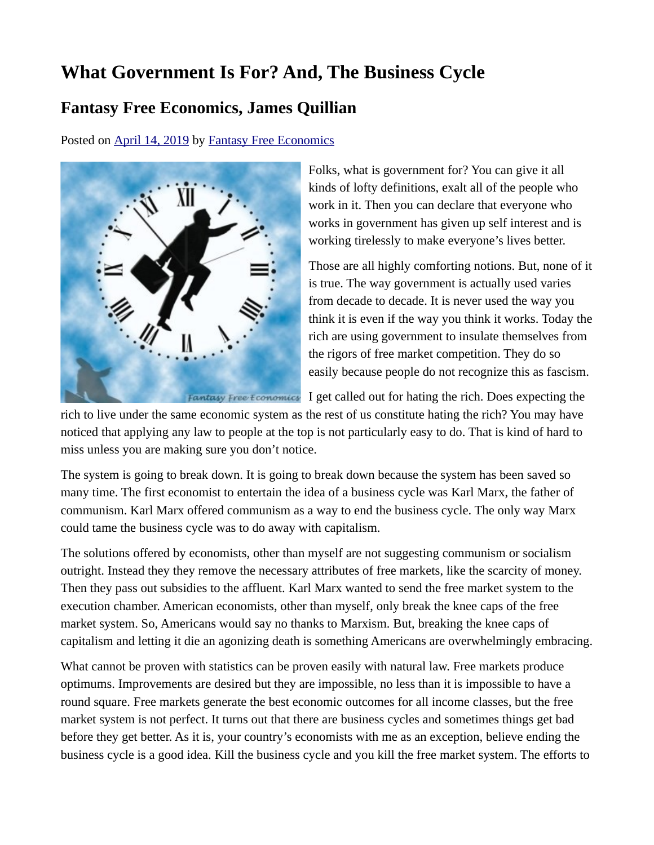## **What Government Is For? And, The Business Cycle**

## **Fantasy Free Economics, James Quillian**

Posted on [April 14, 2019](http://quillian.net/blog/?p=6196) by [Fantasy Free Economics](http://quillian.net/blog/author/james-quillian/)



Folks, what is government for? You can give it all kinds of lofty definitions, exalt all of the people who work in it. Then you can declare that everyone who works in government has given up self interest and is working tirelessly to make everyone's lives better.

Those are all highly comforting notions. But, none of it is true. The way government is actually used varies from decade to decade. It is never used the way you think it is even if the way you think it works. Today the rich are using government to insulate themselves from the rigors of free market competition. They do so easily because people do not recognize this as fascism.

Fantasy Free Economics I get called out for hating the rich. Does expecting the

rich to live under the same economic system as the rest of us constitute hating the rich? You may have noticed that applying any law to people at the top is not particularly easy to do. That is kind of hard to miss unless you are making sure you don't notice.

The system is going to break down. It is going to break down because the system has been saved so many time. The first economist to entertain the idea of a business cycle was Karl Marx, the father of communism. Karl Marx offered communism as a way to end the business cycle. The only way Marx could tame the business cycle was to do away with capitalism.

The solutions offered by economists, other than myself are not suggesting communism or socialism outright. Instead they they remove the necessary attributes of free markets, like the scarcity of money. Then they pass out subsidies to the affluent. Karl Marx wanted to send the free market system to the execution chamber. American economists, other than myself, only break the knee caps of the free market system. So, Americans would say no thanks to Marxism. But, breaking the knee caps of capitalism and letting it die an agonizing death is something Americans are overwhelmingly embracing.

What cannot be proven with statistics can be proven easily with natural law. Free markets produce optimums. Improvements are desired but they are impossible, no less than it is impossible to have a round square. Free markets generate the best economic outcomes for all income classes, but the free market system is not perfect. It turns out that there are business cycles and sometimes things get bad before they get better. As it is, your country's economists with me as an exception, believe ending the business cycle is a good idea. Kill the business cycle and you kill the free market system. The efforts to